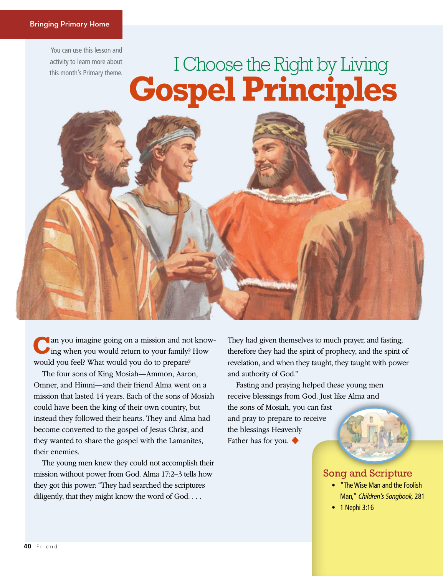You can use this lesson and activity to learn more about this month's Primary theme.

# **Gospel Principles** I Choose the Right by Living

an you imagine going on a mission and not knowing when you would return to your family? How would you feel? What would you do to prepare?

The four sons of King Mosiah—Ammon, Aaron, Omner, and Himni—and their friend Alma went on a mission that lasted 14 years. Each of the sons of Mosiah could have been the king of their own country, but instead they followed their hearts. They and Alma had become converted to the gospel of Jesus Christ, and they wanted to share the gospel with the Lamanites, their enemies.

The young men knew they could not accomplish their mission without power from God. Alma 17:2–3 tells how they got this power: "They had searched the scriptures diligently, that they might know the word of God. . . .

They had given themselves to much prayer, and fasting; therefore they had the spirit of prophecy, and the spirit of revelation, and when they taught, they taught with power and authority of God."

Fasting and praying helped these young men receive blessings from God. Just like Alma and

the sons of Mosiah, you can fast and pray to prepare to receive the blessings Heavenly Father has for you. ◆

### Song and Scripture

- "The Wise Man and the Foolish Man," *Children's Songbook,* 281
- 1 Nephi 3:16